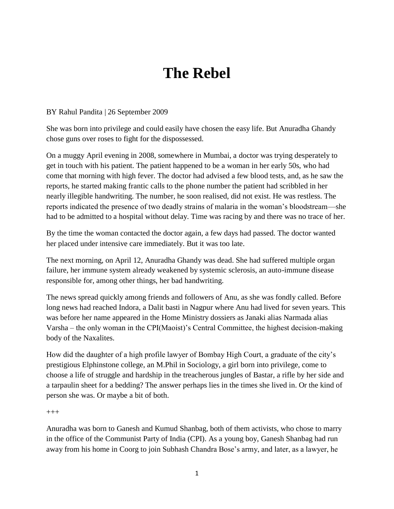## **The Rebel**

## BY Rahul Pandita | 26 September 2009

She was born into privilege and could easily have chosen the easy life. But Anuradha Ghandy chose guns over roses to fight for the dispossessed.

On a muggy April evening in 2008, somewhere in Mumbai, a doctor was trying desperately to get in touch with his patient. The patient happened to be a woman in her early 50s, who had come that morning with high fever. The doctor had advised a few blood tests, and, as he saw the reports, he started making frantic calls to the phone number the patient had scribbled in her nearly illegible handwriting. The number, he soon realised, did not exist. He was restless. The reports indicated the presence of two deadly strains of malaria in the woman's bloodstream—she had to be admitted to a hospital without delay. Time was racing by and there was no trace of her.

By the time the woman contacted the doctor again, a few days had passed. The doctor wanted her placed under intensive care immediately. But it was too late.

The next morning, on April 12, Anuradha Ghandy was dead. She had suffered multiple organ failure, her immune system already weakened by systemic sclerosis, an auto-immune disease responsible for, among other things, her bad handwriting.

The news spread quickly among friends and followers of Anu, as she was fondly called. Before long news had reached Indora, a Dalit basti in Nagpur where Anu had lived for seven years. This was before her name appeared in the Home Ministry dossiers as Janaki alias Narmada alias Varsha – the only woman in the CPI(Maoist)'s Central Committee, the highest decision-making body of the Naxalites.

How did the daughter of a high profile lawyer of Bombay High Court, a graduate of the city's prestigious Elphinstone college, an M.Phil in Sociology, a girl born into privilege, come to choose a life of struggle and hardship in the treacherous jungles of Bastar, a rifle by her side and a tarpaulin sheet for a bedding? The answer perhaps lies in the times she lived in. Or the kind of person she was. Or maybe a bit of both.

 $^{+++}$ 

Anuradha was born to Ganesh and Kumud Shanbag, both of them activists, who chose to marry in the office of the Communist Party of India (CPI). As a young boy, Ganesh Shanbag had run away from his home in Coorg to join Subhash Chandra Bose's army, and later, as a lawyer, he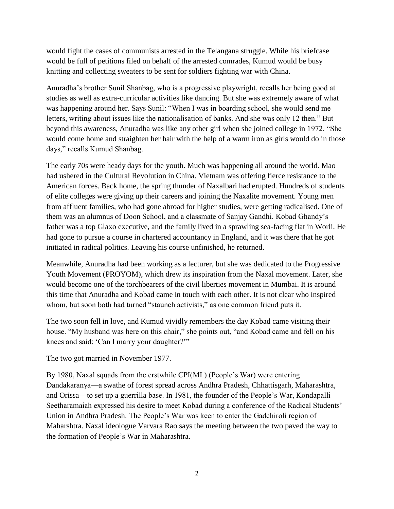would fight the cases of communists arrested in the Telangana struggle. While his briefcase would be full of petitions filed on behalf of the arrested comrades, Kumud would be busy knitting and collecting sweaters to be sent for soldiers fighting war with China.

Anuradha's brother Sunil Shanbag, who is a progressive playwright, recalls her being good at studies as well as extra-curricular activities like dancing. But she was extremely aware of what was happening around her. Says Sunil: "When I was in boarding school, she would send me letters, writing about issues like the nationalisation of banks. And she was only 12 then." But beyond this awareness, Anuradha was like any other girl when she joined college in 1972. "She would come home and straighten her hair with the help of a warm iron as girls would do in those days," recalls Kumud Shanbag.

The early 70s were heady days for the youth. Much was happening all around the world. Mao had ushered in the Cultural Revolution in China. Vietnam was offering fierce resistance to the American forces. Back home, the spring thunder of Naxalbari had erupted. Hundreds of students of elite colleges were giving up their careers and joining the Naxalite movement. Young men from affluent families, who had gone abroad for higher studies, were getting radicalised. One of them was an alumnus of Doon School, and a classmate of Sanjay Gandhi. Kobad Ghandy's father was a top Glaxo executive, and the family lived in a sprawling sea-facing flat in Worli. He had gone to pursue a course in chartered accountancy in England, and it was there that he got initiated in radical politics. Leaving his course unfinished, he returned.

Meanwhile, Anuradha had been working as a lecturer, but she was dedicated to the Progressive Youth Movement (PROYOM), which drew its inspiration from the Naxal movement. Later, she would become one of the torchbearers of the civil liberties movement in Mumbai. It is around this time that Anuradha and Kobad came in touch with each other. It is not clear who inspired whom, but soon both had turned "staunch activists," as one common friend puts it.

The two soon fell in love, and Kumud vividly remembers the day Kobad came visiting their house. "My husband was here on this chair," she points out, "and Kobad came and fell on his knees and said: 'Can I marry your daughter?'"

The two got married in November 1977.

By 1980, Naxal squads from the erstwhile CPI(ML) (People's War) were entering Dandakaranya—a swathe of forest spread across Andhra Pradesh, Chhattisgarh, Maharashtra, and Orissa—to set up a guerrilla base. In 1981, the founder of the People's War, Kondapalli Seetharamaiah expressed his desire to meet Kobad during a conference of the Radical Students' Union in Andhra Pradesh. The People's War was keen to enter the Gadchiroli region of Maharshtra. Naxal ideologue Varvara Rao says the meeting between the two paved the way to the formation of People's War in Maharashtra.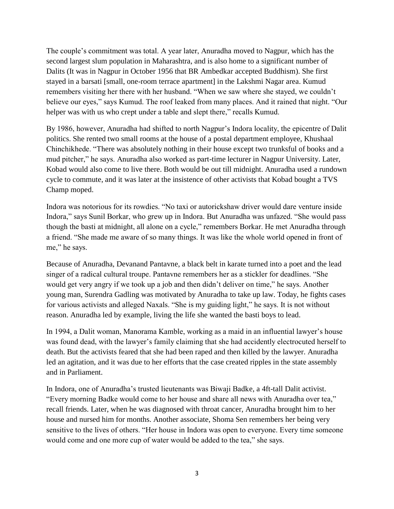The couple's commitment was total. A year later, Anuradha moved to Nagpur, which has the second largest slum population in Maharashtra, and is also home to a significant number of Dalits (It was in Nagpur in October 1956 that BR Ambedkar accepted Buddhism). She first stayed in a barsati [small, one-room terrace apartment] in the Lakshmi Nagar area. Kumud remembers visiting her there with her husband. "When we saw where she stayed, we couldn't believe our eyes," says Kumud. The roof leaked from many places. And it rained that night. "Our helper was with us who crept under a table and slept there," recalls Kumud.

By 1986, however, Anuradha had shifted to north Nagpur's Indora locality, the epicentre of Dalit politics. She rented two small rooms at the house of a postal department employee, Khushaal Chinchikhede. ―There was absolutely nothing in their house except two trunksful of books and a mud pitcher," he says. Anuradha also worked as part-time lecturer in Nagpur University. Later, Kobad would also come to live there. Both would be out till midnight. Anuradha used a rundown cycle to commute, and it was later at the insistence of other activists that Kobad bought a TVS Champ moped.

Indora was notorious for its rowdies. "No taxi or autorickshaw driver would dare venture inside Indora," says Sunil Borkar, who grew up in Indora. But Anuradha was unfazed. "She would pass though the basti at midnight, all alone on a cycle," remembers Borkar. He met Anuradha through a friend. "She made me aware of so many things. It was like the whole world opened in front of me," he says.

Because of Anuradha, Devanand Pantavne, a black belt in karate turned into a poet and the lead singer of a radical cultural troupe. Pantavne remembers her as a stickler for deadlines. "She would get very angry if we took up a job and then didn't deliver on time," he says. Another young man, Surendra Gadling was motivated by Anuradha to take up law. Today, he fights cases for various activists and alleged Naxals. "She is my guiding light," he says. It is not without reason. Anuradha led by example, living the life she wanted the basti boys to lead.

In 1994, a Dalit woman, Manorama Kamble, working as a maid in an influential lawyer's house was found dead, with the lawyer's family claiming that she had accidently electrocuted herself to death. But the activists feared that she had been raped and then killed by the lawyer. Anuradha led an agitation, and it was due to her efforts that the case created ripples in the state assembly and in Parliament.

In Indora, one of Anuradha's trusted lieutenants was Biwaji Badke, a 4ft-tall Dalit activist. "Every morning Badke would come to her house and share all news with Anuradha over tea," recall friends. Later, when he was diagnosed with throat cancer, Anuradha brought him to her house and nursed him for months. Another associate, Shoma Sen remembers her being very sensitive to the lives of others. "Her house in Indora was open to everyone. Every time someone would come and one more cup of water would be added to the tea," she says.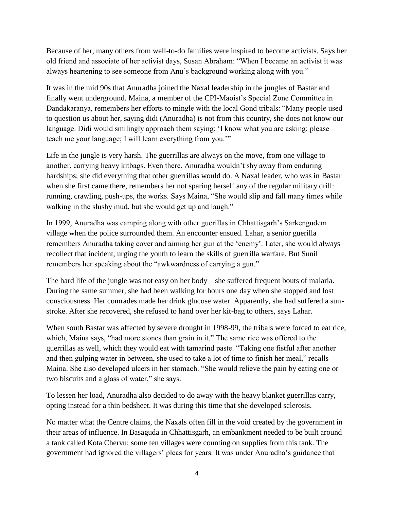Because of her, many others from well-to-do families were inspired to become activists. Says her old friend and associate of her activist days, Susan Abraham: "When I became an activist it was always heartening to see someone from Anu's background working along with you."

It was in the mid 90s that Anuradha joined the Naxal leadership in the jungles of Bastar and finally went underground. Maina, a member of the CPI-Maoist's Special Zone Committee in Dandakaranya, remembers her efforts to mingle with the local Gond tribals: "Many people used to question us about her, saying didi (Anuradha) is not from this country, she does not know our language. Didi would smilingly approach them saying: 'I know what you are asking; please teach me your language; I will learn everything from you."

Life in the jungle is very harsh. The guerrillas are always on the move, from one village to another, carrying heavy kitbags. Even there, Anuradha wouldn't shy away from enduring hardships; she did everything that other guerrillas would do. A Naxal leader, who was in Bastar when she first came there, remembers her not sparing herself any of the regular military drill: running, crawling, push-ups, the works. Says Maina, "She would slip and fall many times while walking in the slushy mud, but she would get up and laugh."

In 1999, Anuradha was camping along with other guerillas in Chhattisgarh's Sarkengudem village when the police surrounded them. An encounter ensued. Lahar, a senior guerilla remembers Anuradha taking cover and aiming her gun at the 'enemy'. Later, she would always recollect that incident, urging the youth to learn the skills of guerrilla warfare. But Sunil remembers her speaking about the "awkwardness of carrying a gun."

The hard life of the jungle was not easy on her body—she suffered frequent bouts of malaria. During the same summer, she had been walking for hours one day when she stopped and lost consciousness. Her comrades made her drink glucose water. Apparently, she had suffered a sunstroke. After she recovered, she refused to hand over her kit-bag to others, says Lahar.

When south Bastar was affected by severe drought in 1998-99, the tribals were forced to eat rice, which, Maina says, "had more stones than grain in it." The same rice was offered to the guerrillas as well, which they would eat with tamarind paste. "Taking one fistful after another and then gulping water in between, she used to take a lot of time to finish her meal," recalls Maina. She also developed ulcers in her stomach. "She would relieve the pain by eating one or two biscuits and a glass of water," she says.

To lessen her load, Anuradha also decided to do away with the heavy blanket guerrillas carry, opting instead for a thin bedsheet. It was during this time that she developed sclerosis.

No matter what the Centre claims, the Naxals often fill in the void created by the government in their areas of influence. In Basaguda in Chhattisgarh, an embankment needed to be built around a tank called Kota Chervu; some ten villages were counting on supplies from this tank. The government had ignored the villagers' pleas for years. It was under Anuradha's guidance that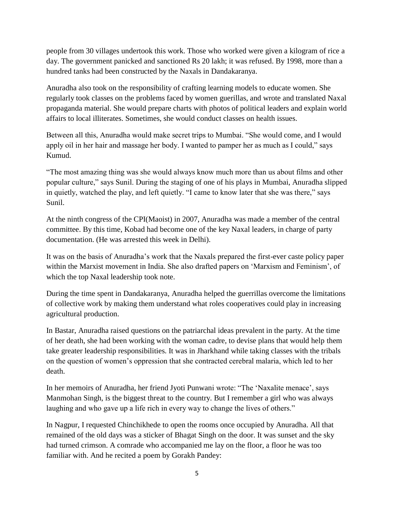people from 30 villages undertook this work. Those who worked were given a kilogram of rice a day. The government panicked and sanctioned Rs 20 lakh; it was refused. By 1998, more than a hundred tanks had been constructed by the Naxals in Dandakaranya.

Anuradha also took on the responsibility of crafting learning models to educate women. She regularly took classes on the problems faced by women guerillas, and wrote and translated Naxal propaganda material. She would prepare charts with photos of political leaders and explain world affairs to local illiterates. Sometimes, she would conduct classes on health issues.

Between all this, Anuradha would make secret trips to Mumbai. "She would come, and I would apply oil in her hair and massage her body. I wanted to pamper her as much as I could," says Kumud.

―The most amazing thing was she would always know much more than us about films and other popular culture," says Sunil. During the staging of one of his plays in Mumbai, Anuradha slipped in quietly, watched the play, and left quietly. "I came to know later that she was there," says Sunil.

At the ninth congress of the CPI(Maoist) in 2007, Anuradha was made a member of the central committee. By this time, Kobad had become one of the key Naxal leaders, in charge of party documentation. (He was arrested this week in Delhi).

It was on the basis of Anuradha's work that the Naxals prepared the first-ever caste policy paper within the Marxist movement in India. She also drafted papers on 'Marxism and Feminism', of which the top Naxal leadership took note.

During the time spent in Dandakaranya, Anuradha helped the guerrillas overcome the limitations of collective work by making them understand what roles cooperatives could play in increasing agricultural production.

In Bastar, Anuradha raised questions on the patriarchal ideas prevalent in the party. At the time of her death, she had been working with the woman cadre, to devise plans that would help them take greater leadership responsibilities. It was in Jharkhand while taking classes with the tribals on the question of women's oppression that she contracted cerebral malaria, which led to her death.

In her memoirs of Anuradha, her friend Jyoti Punwani wrote: "The 'Naxalite menace', says Manmohan Singh, is the biggest threat to the country. But I remember a girl who was always laughing and who gave up a life rich in every way to change the lives of others."

In Nagpur, I requested Chinchikhede to open the rooms once occupied by Anuradha. All that remained of the old days was a sticker of Bhagat Singh on the door. It was sunset and the sky had turned crimson. A comrade who accompanied me lay on the floor, a floor he was too familiar with. And he recited a poem by Gorakh Pandey: